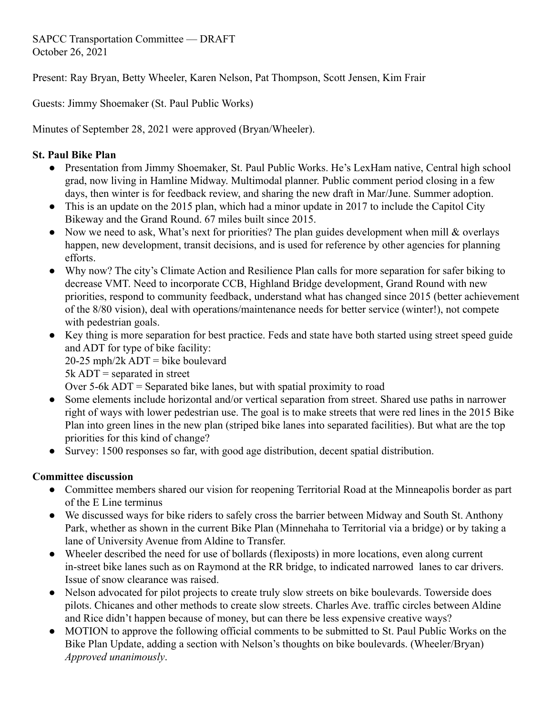SAPCC Transportation Committee — DRAFT October 26, 2021

Present: Ray Bryan, Betty Wheeler, Karen Nelson, Pat Thompson, Scott Jensen, Kim Frair

Guests: Jimmy Shoemaker (St. Paul Public Works)

Minutes of September 28, 2021 were approved (Bryan/Wheeler).

# **St. Paul Bike Plan**

- Presentation from Jimmy Shoemaker, St. Paul Public Works. He's LexHam native, Central high school grad, now living in Hamline Midway. Multimodal planner. Public comment period closing in a few days, then winter is for feedback review, and sharing the new draft in Mar/June. Summer adoption.
- This is an update on the 2015 plan, which had a minor update in 2017 to include the Capitol City Bikeway and the Grand Round. 67 miles built since 2015.
- Now we need to ask, What's next for priorities? The plan guides development when mill & overlays happen, new development, transit decisions, and is used for reference by other agencies for planning efforts.
- Why now? The city's Climate Action and Resilience Plan calls for more separation for safer biking to decrease VMT. Need to incorporate CCB, Highland Bridge development, Grand Round with new priorities, respond to community feedback, understand what has changed since 2015 (better achievement of the 8/80 vision), deal with operations/maintenance needs for better service (winter!), not compete with pedestrian goals.
- Key thing is more separation for best practice. Feds and state have both started using street speed guide and ADT for type of bike facility:
	- $20-25$  mph/2k ADT = bike boulevard

 $5k$  ADT = separated in street

- Over 5-6k ADT = Separated bike lanes, but with spatial proximity to road
- Some elements include horizontal and/or vertical separation from street. Shared use paths in narrower right of ways with lower pedestrian use. The goal is to make streets that were red lines in the 2015 Bike Plan into green lines in the new plan (striped bike lanes into separated facilities). But what are the top priorities for this kind of change?
- Survey: 1500 responses so far, with good age distribution, decent spatial distribution.

# **Committee discussion**

- Committee members shared our vision for reopening Territorial Road at the Minneapolis border as part of the E Line terminus
- We discussed ways for bike riders to safely cross the barrier between Midway and South St. Anthony Park, whether as shown in the current Bike Plan (Minnehaha to Territorial via a bridge) or by taking a lane of University Avenue from Aldine to Transfer.
- Wheeler described the need for use of bollards (flexiposts) in more locations, even along current in-street bike lanes such as on Raymond at the RR bridge, to indicated narrowed lanes to car drivers. Issue of snow clearance was raised.
- Nelson advocated for pilot projects to create truly slow streets on bike boulevards. Towerside does pilots. Chicanes and other methods to create slow streets. Charles Ave. traffic circles between Aldine and Rice didn't happen because of money, but can there be less expensive creative ways?
- MOTION to approve the following official comments to be submitted to St. Paul Public Works on the Bike Plan Update, adding a section with Nelson's thoughts on bike boulevards. (Wheeler/Bryan) *Approved unanimously*.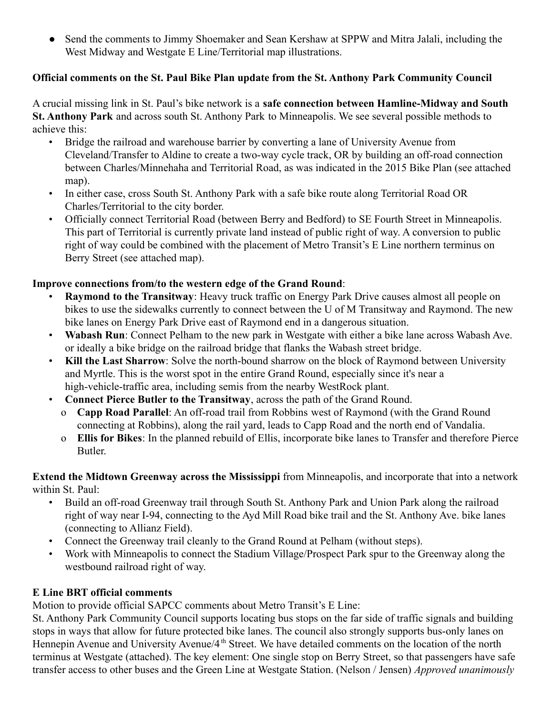• Send the comments to Jimmy Shoemaker and Sean Kershaw at SPPW and Mitra Jalali, including the West Midway and Westgate E Line/Territorial map illustrations.

## **Official comments on the St. Paul Bike Plan update from the St. Anthony Park Community Council**

A crucial missing link in St. Paul's bike network is a **safe connection between Hamline-Midway and South St. Anthony Park** and across south St. Anthony Park to Minneapolis. We see several possible methods to achieve this:

- Bridge the railroad and warehouse barrier by converting a lane of University Avenue from Cleveland/Transfer to Aldine to create a two-way cycle track, OR by building an off-road connection between Charles/Minnehaha and Territorial Road, as was indicated in the 2015 Bike Plan (see attached map).
- In either case, cross South St. Anthony Park with a safe bike route along Territorial Road OR Charles/Territorial to the city border.
- Officially connect Territorial Road (between Berry and Bedford) to SE Fourth Street in Minneapolis. This part of Territorial is currently private land instead of public right of way. A conversion to public right of way could be combined with the placement of Metro Transit's E Line northern terminus on Berry Street (see attached map).

### **Improve connections from/to the western edge of the Grand Round**:

- **Raymond to the Transitway**: Heavy truck traffic on Energy Park Drive causes almost all people on bikes to use the sidewalks currently to connect between the U of M Transitway and Raymond. The new bike lanes on Energy Park Drive east of Raymond end in a dangerous situation.
- **Wabash Run**: Connect Pelham to the new park in Westgate with either a bike lane across Wabash Ave. or ideally a bike bridge on the railroad bridge that flanks the Wabash street bridge.
- **Kill the Last Sharrow**: Solve the north-bound sharrow on the block of Raymond between University and Myrtle. This is the worst spot in the entire Grand Round, especially since it's near a high-vehicle-traffic area, including semis from the nearby WestRock plant.
- **Connect Pierce Butler to the Transitway**, across the path of the Grand Round.
	- o **Capp Road Parallel**: An off-road trail from Robbins west of Raymond (with the Grand Round connecting at Robbins), along the rail yard, leads to Capp Road and the north end of Vandalia.
	- o **Ellis for Bikes**: In the planned rebuild of Ellis, incorporate bike lanes to Transfer and therefore Pierce Butler.

**Extend the Midtown Greenway across the Mississippi** from Minneapolis, and incorporate that into a network within St. Paul:

- Build an off-road Greenway trail through South St. Anthony Park and Union Park along the railroad right of way near I-94, connecting to the Ayd Mill Road bike trail and the St. Anthony Ave. bike lanes (connecting to Allianz Field).
- Connect the Greenway trail cleanly to the Grand Round at Pelham (without steps).
- Work with Minneapolis to connect the Stadium Village/Prospect Park spur to the Greenway along the westbound railroad right of way.

### **E Line BRT official comments**

Motion to provide official SAPCC comments about Metro Transit's E Line:

St. Anthony Park Community Council supports locating bus stops on the far side of traffic signals and building stops in ways that allow for future protected bike lanes. The council also strongly supports bus-only lanes on Hennepin Avenue and University Avenue/4<sup>th</sup> Street. We have detailed comments on the location of the north terminus at Westgate (attached). The key element: One single stop on Berry Street, so that passengers have safe transfer access to other buses and the Green Line at Westgate Station. (Nelson / Jensen) *Approved unanimously*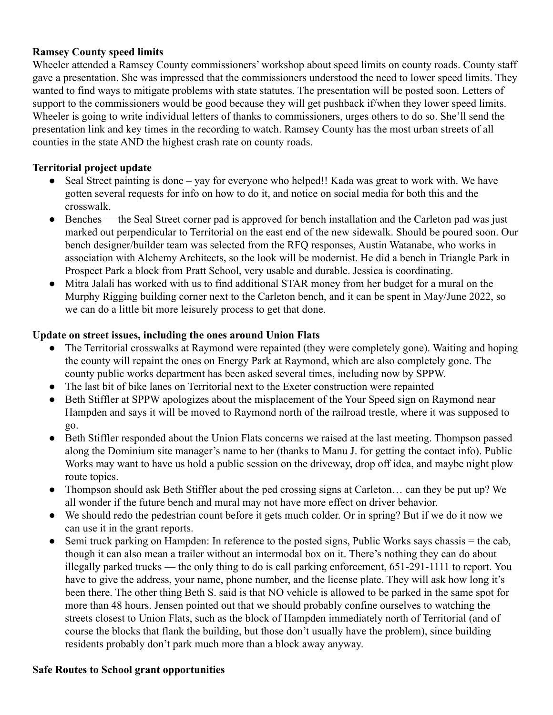#### **Ramsey County speed limits**

Wheeler attended a Ramsey County commissioners' workshop about speed limits on county roads. County staff gave a presentation. She was impressed that the commissioners understood the need to lower speed limits. They wanted to find ways to mitigate problems with state statutes. The presentation will be posted soon. Letters of support to the commissioners would be good because they will get pushback if/when they lower speed limits. Wheeler is going to write individual letters of thanks to commissioners, urges others to do so. She'll send the presentation link and key times in the recording to watch. Ramsey County has the most urban streets of all counties in the state AND the highest crash rate on county roads.

### **Territorial project update**

- Seal Street painting is done yay for everyone who helped!! Kada was great to work with. We have gotten several requests for info on how to do it, and notice on social media for both this and the crosswalk.
- Benches the Seal Street corner pad is approved for bench installation and the Carleton pad was just marked out perpendicular to Territorial on the east end of the new sidewalk. Should be poured soon. Our bench designer/builder team was selected from the RFQ responses, Austin Watanabe, who works in association with Alchemy Architects, so the look will be modernist. He did a bench in Triangle Park in Prospect Park a block from Pratt School, very usable and durable. Jessica is coordinating.
- Mitra Jalali has worked with us to find additional STAR money from her budget for a mural on the Murphy Rigging building corner next to the Carleton bench, and it can be spent in May/June 2022, so we can do a little bit more leisurely process to get that done.

### **Update on street issues, including the ones around Union Flats**

- The Territorial crosswalks at Raymond were repainted (they were completely gone). Waiting and hoping the county will repaint the ones on Energy Park at Raymond, which are also completely gone. The county public works department has been asked several times, including now by SPPW.
- The last bit of bike lanes on Territorial next to the Exeter construction were repainted
- Beth Stiffler at SPPW apologizes about the misplacement of the Your Speed sign on Raymond near Hampden and says it will be moved to Raymond north of the railroad trestle, where it was supposed to go.
- Beth Stiffler responded about the Union Flats concerns we raised at the last meeting. Thompson passed along the Dominium site manager's name to her (thanks to Manu J. for getting the contact info). Public Works may want to have us hold a public session on the driveway, drop off idea, and maybe night plow route topics.
- Thompson should ask Beth Stiffler about the ped crossing signs at Carleton... can they be put up? We all wonder if the future bench and mural may not have more effect on driver behavior.
- We should redo the pedestrian count before it gets much colder. Or in spring? But if we do it now we can use it in the grant reports.
- Semi truck parking on Hampden: In reference to the posted signs, Public Works says chassis = the cab, though it can also mean a trailer without an intermodal box on it. There's nothing they can do about illegally parked trucks — the only thing to do is call parking enforcement, 651-291-1111 to report. You have to give the address, your name, phone number, and the license plate. They will ask how long it's been there. The other thing Beth S. said is that NO vehicle is allowed to be parked in the same spot for more than 48 hours. Jensen pointed out that we should probably confine ourselves to watching the streets closest to Union Flats, such as the block of Hampden immediately north of Territorial (and of course the blocks that flank the building, but those don't usually have the problem), since building residents probably don't park much more than a block away anyway.

#### **Safe Routes to School grant opportunities**